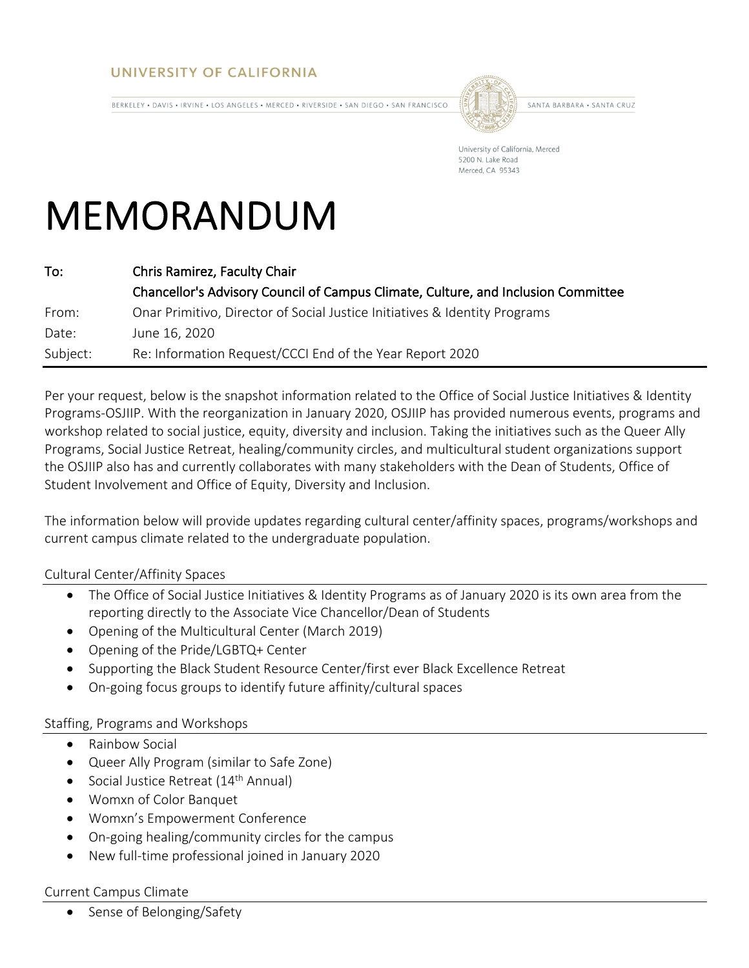## UNIVERSITY OF CALIFORNIA

BERKELEY . DAVIS . IRVINE . LOS ANGELES . MERCED . RIVERSIDE . SAN DIEGO . SAN FRANCISCO



SANTA BARBARA . SANTA CRUZ

University of California, Merced 5200 N Lake Road Merced, CA 95343

# MEMORANDUM

| To:      | Chris Ramirez, Faculty Chair                                                      |
|----------|-----------------------------------------------------------------------------------|
|          | Chancellor's Advisory Council of Campus Climate, Culture, and Inclusion Committee |
| From:    | Onar Primitivo, Director of Social Justice Initiatives & Identity Programs        |
| Date:    | June 16, 2020                                                                     |
| Subject: | Re: Information Request/CCCI End of the Year Report 2020                          |

Per your request, below is the snapshot information related to the Office of Social Justice Initiatives & Identity Programs-OSJIIP. With the reorganization in January 2020, OSJIIP has provided numerous events, programs and workshop related to social justice, equity, diversity and inclusion. Taking the initiatives such as the Queer Ally Programs, Social Justice Retreat, healing/community circles, and multicultural student organizations support the OSJIIP also has and currently collaborates with many stakeholders with the Dean of Students, Office of Student Involvement and Office of Equity, Diversity and Inclusion.

The information below will provide updates regarding cultural center/affinity spaces, programs/workshops and current campus climate related to the undergraduate population.

### Cultural Center/Affinity Spaces

- The Office of Social Justice Initiatives & Identity Programs as of January 2020 is its own area from the reporting directly to the Associate Vice Chancellor/Dean of Students
- Opening of the Multicultural Center (March 2019)
- Opening of the Pride/LGBTQ+ Center
- Supporting the Black Student Resource Center/first ever Black Excellence Retreat
- On-going focus groups to identify future affinity/cultural spaces

### Staffing, Programs and Workshops

- Rainbow Social
- Queer Ally Program (similar to Safe Zone)
- Social Justice Retreat (14<sup>th</sup> Annual)
- Womxn of Color Banquet
- Womxn's Empowerment Conference
- On-going healing/community circles for the campus
- New full-time professional joined in January 2020

#### Current Campus Climate

• Sense of Belonging/Safety